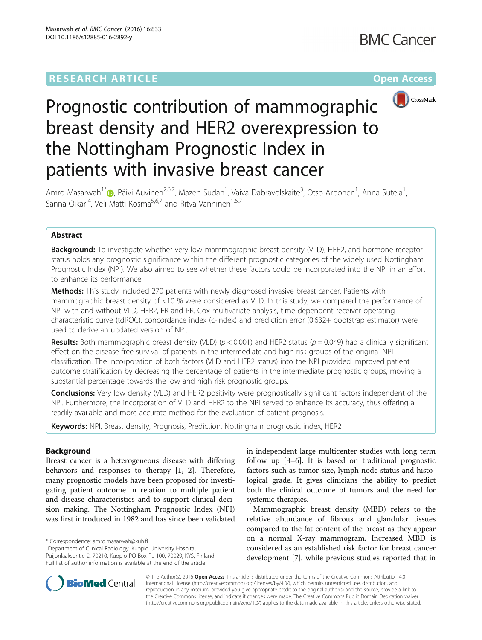# **RESEARCH ARTICLE Example 2014 The Contract of Contract Contract Contract Contract Contract Contract Contract Contract Contract Contract Contract Contract Contract Contract Contract Contract Contract Contract Contract Co**



# Prognostic contribution of mammographic breast density and HER2 overexpression to the Nottingham Prognostic Index in patients with invasive breast cancer

Amro Masarwah<sup>1\*</sup> (**p**[,](http://orcid.org/0000-0001-9687-6020) Päivi Auvinen<sup>2,6,7</sup>, Mazen Sudah<sup>1</sup>, Vaiva Dabravolskaite<sup>3</sup>, Otso Arponen<sup>1</sup>, Anna Sutela<sup>1</sup> , Sanna Oikari<sup>4</sup>, Veli-Matti Kosma<sup>5,6,7</sup> and Ritva Vanninen<sup>1,6,7</sup>

# Abstract

**Background:** To investigate whether very low mammographic breast density (VLD), HER2, and hormone receptor status holds any prognostic significance within the different prognostic categories of the widely used Nottingham Prognostic Index (NPI). We also aimed to see whether these factors could be incorporated into the NPI in an effort to enhance its performance.

Methods: This study included 270 patients with newly diagnosed invasive breast cancer. Patients with mammographic breast density of <10 % were considered as VLD. In this study, we compared the performance of NPI with and without VLD, HER2, ER and PR. Cox multivariate analysis, time-dependent receiver operating characteristic curve (tdROC), concordance index (c-index) and prediction error (0.632+ bootstrap estimator) were used to derive an updated version of NPI.

**Results:** Both mammographic breast density (VLD) ( $p < 0.001$ ) and HER2 status ( $p = 0.049$ ) had a clinically significant effect on the disease free survival of patients in the intermediate and high risk groups of the original NPI classification. The incorporation of both factors (VLD and HER2 status) into the NPI provided improved patient outcome stratification by decreasing the percentage of patients in the intermediate prognostic groups, moving a substantial percentage towards the low and high risk prognostic groups.

Conclusions: Very low density (VLD) and HER2 positivity were prognostically significant factors independent of the NPI. Furthermore, the incorporation of VLD and HER2 to the NPI served to enhance its accuracy, thus offering a readily available and more accurate method for the evaluation of patient prognosis.

Keywords: NPI, Breast density, Prognosis, Prediction, Nottingham prognostic index, HER2

# Background

Breast cancer is a heterogeneous disease with differing behaviors and responses to therapy [[1, 2](#page-7-0)]. Therefore, many prognostic models have been proposed for investigating patient outcome in relation to multiple patient and disease characteristics and to support clinical decision making. The Nottingham Prognostic Index (NPI) was first introduced in 1982 and has since been validated

<sup>1</sup> Department of Clinical Radiology, Kuopio University Hospital, Puijonlaaksontie 2, 70210, Kuopio PO Box PL 100, 70029, KYS, Finland Full list of author information is available at the end of the article

in independent large multicenter studies with long term follow up [\[3](#page-7-0)–[6\]](#page-7-0). It is based on traditional prognostic factors such as tumor size, lymph node status and histological grade. It gives clinicians the ability to predict both the clinical outcome of tumors and the need for systemic therapies.

Mammographic breast density (MBD) refers to the relative abundance of fibrous and glandular tissues compared to the fat content of the breast as they appear on a normal X-ray mammogram. Increased MBD is considered as an established risk factor for breast cancer development [[7\]](#page-7-0), while previous studies reported that in



© The Author(s). 2016 Open Access This article is distributed under the terms of the Creative Commons Attribution 4.0 International License [\(http://creativecommons.org/licenses/by/4.0/](http://creativecommons.org/licenses/by/4.0/)), which permits unrestricted use, distribution, and reproduction in any medium, provided you give appropriate credit to the original author(s) and the source, provide a link to the Creative Commons license, and indicate if changes were made. The Creative Commons Public Domain Dedication waiver [\(http://creativecommons.org/publicdomain/zero/1.0/](http://creativecommons.org/publicdomain/zero/1.0/)) applies to the data made available in this article, unless otherwise stated.

<sup>\*</sup> Correspondence: [amro.masarwah@kuh.fi](mailto:amro.masarwah@kuh.fi) <sup>1</sup>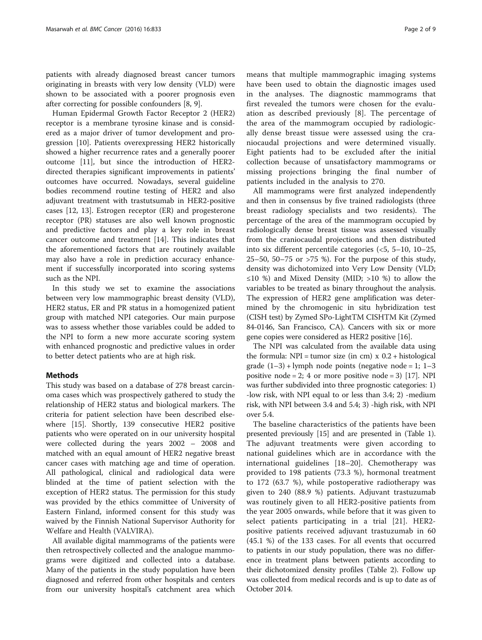patients with already diagnosed breast cancer tumors originating in breasts with very low density (VLD) were shown to be associated with a poorer prognosis even after correcting for possible confounders [[8, 9\]](#page-7-0).

Human Epidermal Growth Factor Receptor 2 (HER2) receptor is a membrane tyrosine kinase and is considered as a major driver of tumor development and progression [\[10](#page-7-0)]. Patients overexpressing HER2 historically showed a higher recurrence rates and a generally poorer outcome [\[11\]](#page-7-0), but since the introduction of HER2 directed therapies significant improvements in patients' outcomes have occurred. Nowadays, several guideline bodies recommend routine testing of HER2 and also adjuvant treatment with trastutsumab in HER2-positive cases [[12](#page-7-0), [13](#page-7-0)]. Estrogen receptor (ER) and progesterone receptor (PR) statuses are also well known prognostic and predictive factors and play a key role in breast cancer outcome and treatment [\[14](#page-7-0)]. This indicates that the aforementioned factors that are routinely available may also have a role in prediction accuracy enhancement if successfully incorporated into scoring systems such as the NPI.

In this study we set to examine the associations between very low mammographic breast density (VLD), HER2 status, ER and PR status in a homogenized patient group with matched NPI categories. Our main purpose was to assess whether those variables could be added to the NPI to form a new more accurate scoring system with enhanced prognostic and predictive values in order to better detect patients who are at high risk.

# Methods

This study was based on a database of 278 breast carcinoma cases which was prospectively gathered to study the relationship of HER2 status and biological markers. The criteria for patient selection have been described elsewhere [[15](#page-7-0)]. Shortly, 139 consecutive HER2 positive patients who were operated on in our university hospital were collected during the years 2002 – 2008 and matched with an equal amount of HER2 negative breast cancer cases with matching age and time of operation. All pathological, clinical and radiological data were blinded at the time of patient selection with the exception of HER2 status. The permission for this study was provided by the ethics committee of University of Eastern Finland, informed consent for this study was waived by the Finnish National Supervisor Authority for Welfare and Health (VALVIRA).

All available digital mammograms of the patients were then retrospectively collected and the analogue mammograms were digitized and collected into a database. Many of the patients in the study population have been diagnosed and referred from other hospitals and centers from our university hospital's catchment area which

means that multiple mammographic imaging systems have been used to obtain the diagnostic images used in the analyses. The diagnostic mammograms that first revealed the tumors were chosen for the evaluation as described previously [[8\]](#page-7-0). The percentage of the area of the mammogram occupied by radiologically dense breast tissue were assessed using the craniocaudal projections and were determined visually. Eight patients had to be excluded after the initial collection because of unsatisfactory mammograms or missing projections bringing the final number of patients included in the analysis to 270.

All mammograms were first analyzed independently and then in consensus by five trained radiologists (three breast radiology specialists and two residents). The percentage of the area of the mammogram occupied by radiologically dense breast tissue was assessed visually from the craniocaudal projections and then distributed into six different percentile categories (<5, 5–10, 10–25, 25–50, 50–75 or >75 %). For the purpose of this study, density was dichotomized into Very Low Density (VLD; ≤10 %) and Mixed Density (MID; >10 %) to allow the variables to be treated as binary throughout the analysis. The expression of HER2 gene amplification was determined by the chromogenic in situ hybridization test (CISH test) by Zymed SPo-LightTM CISHTM Kit (Zymed 84-0146, San Francisco, CA). Cancers with six or more gene copies were considered as HER2 positive [[16](#page-7-0)].

The NPI was calculated from the available data using the formula: NPI = tumor size (in cm)  $x$  0.2 + histological grade  $(1-3)$  + lymph node points (negative node = 1; 1-3 positive node = 2; 4 or more positive node = 3) [[17](#page-7-0)]. NPI was further subdivided into three prognostic categories: 1) -low risk, with NPI equal to or less than 3.4; 2) -medium risk, with NPI between 3.4 and 5.4; 3) -high risk, with NPI over 5.4.

The baseline characteristics of the patients have been presented previously [\[15\]](#page-7-0) and are presented in (Table [1](#page-2-0)). The adjuvant treatments were given according to national guidelines which are in accordance with the international guidelines [[18](#page-7-0)–[20\]](#page-7-0). Chemotherapy was provided to 198 patients (73.3 %), hormonal treatment to 172 (63.7 %), while postoperative radiotherapy was given to 240 (88.9 %) patients. Adjuvant trastuzumab was routinely given to all HER2-positive patients from the year 2005 onwards, while before that it was given to select patients participating in a trial [\[21](#page-7-0)]. HER2 positive patients received adjuvant trastuzumab in 60 (45.1 %) of the 133 cases. For all events that occurred to patients in our study population, there was no difference in treatment plans between patients according to their dichotomized density profiles (Table [2](#page-2-0)). Follow up was collected from medical records and is up to date as of October 2014.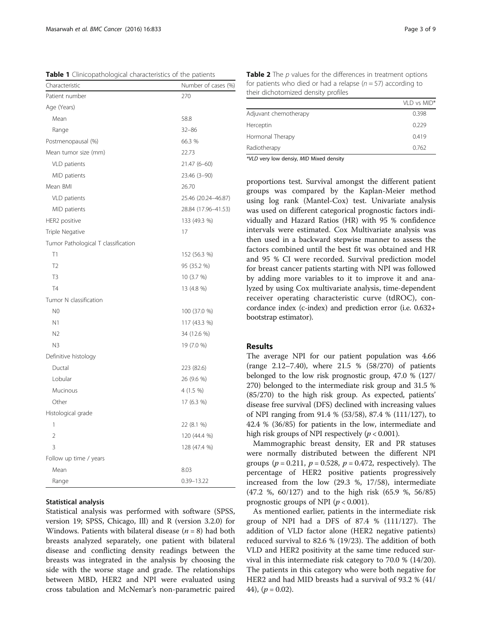<span id="page-2-0"></span>Table 1 Clinicopathological characteristics of the patients

| Characteristic                      | Number of cases (%) |
|-------------------------------------|---------------------|
| Patient number                      | 270                 |
| Age (Years)                         |                     |
| Mean                                | 58.8                |
| Range                               | $32 - 86$           |
| Postmenopausal (%)                  | 66.3 %              |
| Mean tumor size (mm)                | 22.73               |
| VLD patients                        | 21.47 (6-60)        |
| MID patients                        | 23.46 (3-90)        |
| Mean BMI                            | 26.70               |
| VLD patients                        | 25.46 (20.24-46.87) |
| MID patients                        | 28.84 (17.96-41.53) |
| HER2 positive                       | 133 (49.3 %)        |
| Triple Negative                     | 17                  |
| Tumor Pathological T classification |                     |
| T1                                  | 152 (56.3 %)        |
| T <sub>2</sub>                      | 95 (35.2 %)         |
| T3                                  | 10 (3.7 %)          |
| <b>T4</b>                           | 13 (4.8 %)          |
| Tumor N classification              |                     |
| N <sub>0</sub>                      | 100 (37.0 %)        |
| N1                                  | 117 (43.3 %)        |
| N <sub>2</sub>                      | 34 (12.6 %)         |
| N <sub>3</sub>                      | 19 (7.0 %)          |
| Definitive histology                |                     |
| Ductal                              | 223 (82.6)          |
| Lobular                             | 26 (9.6 %)          |
| Mucinous                            | 4 (1.5 %)           |
| Other                               | 17 (6.3 %)          |
| Histological grade                  |                     |
| 1                                   | 22 (8.1 %)          |
| $\overline{2}$                      | 120 (44.4 %)        |
| 3                                   | 128 (47.4 %)        |
| Follow up time / years              |                     |
| Mean                                | 8.03                |
| Range                               | 0.39-13.22          |

#### Statistical analysis

Statistical analysis was performed with software (SPSS, version 19; SPSS, Chicago, Ill) and R (version 3.2.0) for Windows. Patients with bilateral disease  $(n = 8)$  had both breasts analyzed separately, one patient with bilateral disease and conflicting density readings between the breasts was integrated in the analysis by choosing the side with the worse stage and grade. The relationships between MBD, HER2 and NPI were evaluated using cross tabulation and McNemar's non-parametric paired

Table 2 The p values for the differences in treatment options for patients who died or had a relapse  $(n = 57)$  according to their dichotomized density profiles

|                       | VID vs MID <sup>*</sup> |
|-----------------------|-------------------------|
| Adjuvant chemotherapy | 0.398                   |
| Herceptin             | 0.229                   |
| Hormonal Therapy      | 0.419                   |
| Radiotherapy          | 0.762                   |
|                       |                         |

\*VLD very low densiy, MID Mixed density

proportions test. Survival amongst the different patient groups was compared by the Kaplan-Meier method using log rank (Mantel-Cox) test. Univariate analysis was used on different categorical prognostic factors individually and Hazard Ratios (HR) with 95 % confidence intervals were estimated. Cox Multivariate analysis was then used in a backward stepwise manner to assess the factors combined until the best fit was obtained and HR and 95 % CI were recorded. Survival prediction model for breast cancer patients starting with NPI was followed by adding more variables to it to improve it and analyzed by using Cox multivariate analysis, time-dependent receiver operating characteristic curve (tdROC), concordance index (c-index) and prediction error (i.e. 0.632+ bootstrap estimator).

#### Results

The average NPI for our patient population was 4.66 (range 2.12–7.40), where 21.5 % (58/270) of patients belonged to the low risk prognostic group, 47.0 % (127/ 270) belonged to the intermediate risk group and 31.5 % (85/270) to the high risk group. As expected, patients' disease free survival (DFS) declined with increasing values of NPI ranging from 91.4 % (53/58), 87.4 % (111/127), to 42.4 % (36/85) for patients in the low, intermediate and high risk groups of NPI respectively ( $p < 0.001$ ).

Mammographic breast density, ER and PR statuses were normally distributed between the different NPI groups ( $p = 0.211$ ,  $p = 0.528$ ,  $p = 0.472$ , respectively). The percentage of HER2 positive patients progressively increased from the low (29.3 %, 17/58), intermediate (47.2 %, 60/127) and to the high risk (65.9 %, 56/85) prognostic groups of NPI ( $p < 0.001$ ).

As mentioned earlier, patients in the intermediate risk group of NPI had a DFS of 87.4 % (111/127). The addition of VLD factor alone (HER2 negative patients) reduced survival to 82.6 % (19/23). The addition of both VLD and HER2 positivity at the same time reduced survival in this intermediate risk category to 70.0 % (14/20). The patients in this category who were both negative for HER2 and had MID breasts had a survival of 93.2 % (41/ 44),  $(p = 0.02)$ .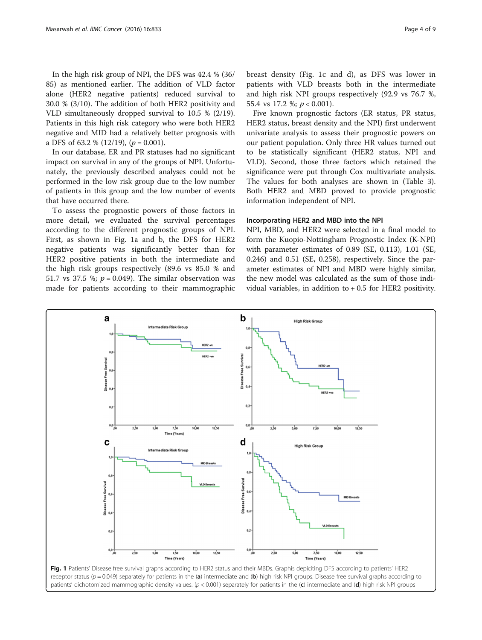In the high risk group of NPI, the DFS was 42.4 % (36/ 85) as mentioned earlier. The addition of VLD factor alone (HER2 negative patients) reduced survival to 30.0 % (3/10). The addition of both HER2 positivity and VLD simultaneously dropped survival to 10.5 % (2/19). Patients in this high risk category who were both HER2 negative and MID had a relatively better prognosis with a DFS of 63.2 %  $(12/19)$ ,  $(p = 0.001)$ .

In our database, ER and PR statuses had no significant impact on survival in any of the groups of NPI. Unfortunately, the previously described analyses could not be performed in the low risk group due to the low number of patients in this group and the low number of events that have occurred there.

To assess the prognostic powers of those factors in more detail, we evaluated the survival percentages according to the different prognostic groups of NPI. First, as shown in Fig. 1a and b, the DFS for HER2 negative patients was significantly better than for HER2 positive patients in both the intermediate and the high risk groups respectively (89.6 vs 85.0 % and 51.7 vs 37.5 %;  $p = 0.049$ ). The similar observation was made for patients according to their mammographic

breast density (Fig. 1c and d), as DFS was lower in patients with VLD breasts both in the intermediate and high risk NPI groups respectively (92.9 vs 76.7 %, 55.4 vs 17.2 %; p < 0.001).

Five known prognostic factors (ER status, PR status, HER2 status, breast density and the NPI) first underwent univariate analysis to assess their prognostic powers on our patient population. Only three HR values turned out to be statistically significant (HER2 status, NPI and VLD). Second, those three factors which retained the significance were put through Cox multivariate analysis. The values for both analyses are shown in (Table [3](#page-4-0)). Both HER2 and MBD proved to provide prognostic information independent of NPI.

#### Incorporating HER2 and MBD into the NPI

NPI, MBD, and HER2 were selected in a final model to form the Kuopio-Nottingham Prognostic Index (K-NPI) with parameter estimates of 0.89 (SE, 0.113), 1.01 (SE, 0.246) and 0.51 (SE, 0.258), respectively. Since the parameter estimates of NPI and MBD were highly similar, the new model was calculated as the sum of those individual variables, in addition to  $+0.5$  for HER2 positivity.

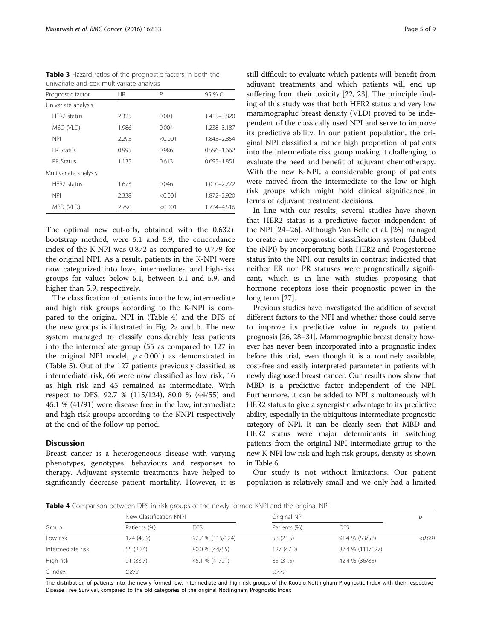<span id="page-4-0"></span>Table 3 Hazard ratios of the prognostic factors in both the univariate and cox multivariate analysis

| Prognostic factor       | <b>HR</b> | P       | 95 % CI         |
|-------------------------|-----------|---------|-----------------|
| Univariate analysis     |           |         |                 |
| HFR <sub>2</sub> status | 2.325     | 0.001   | 1.415-3.820     |
| MBD (VLD)               | 1.986     | 0.004   | 1.238-3.187     |
| <b>NPI</b>              | 2.295     | < 0.001 | 1.845-2.854     |
| <b>FR Status</b>        | 0.995     | 0.986   | $0.596 - 1.662$ |
| <b>PR Status</b>        | 1.135     | 0.613   | $0.695 - 1.851$ |
| Multivariate analysis   |           |         |                 |
| HFR <sub>2</sub> status | 1.673     | 0.046   | 1.010-2.772     |
| <b>NPI</b>              | 2.338     | < 0.001 | 1.872-2.920     |
| MBD (VLD)               | 2.790     | < 0.001 | 1.724-4.516     |

The optimal new cut-offs, obtained with the 0.632+ bootstrap method, were 5.1 and 5.9, the concordance index of the K-NPI was 0.872 as compared to 0.779 for the original NPI. As a result, patients in the K-NPI were now categorized into low-, intermediate-, and high-risk groups for values below 5.1, between 5.1 and 5.9, and higher than 5.9, respectively.

The classification of patients into the low, intermediate and high risk groups according to the K-NPI is compared to the original NPI in (Table 4) and the DFS of the new groups is illustrated in Fig. [2a and b.](#page-5-0) The new system managed to classify considerably less patients into the intermediate group (55 as compared to 127 in the original NPI model,  $p < 0.001$ ) as demonstrated in (Table [5](#page-6-0)). Out of the 127 patients previously classified as intermediate risk, 66 were now classified as low risk, 16 as high risk and 45 remained as intermediate. With respect to DFS, 92.7 % (115/124), 80.0 % (44/55) and 45.1 % (41/91) were disease free in the low, intermediate and high risk groups according to the KNPI respectively at the end of the follow up period.

#### **Discussion**

Breast cancer is a heterogeneous disease with varying phenotypes, genotypes, behaviours and responses to therapy. Adjuvant systemic treatments have helped to significantly decrease patient mortality. However, it is still difficult to evaluate which patients will benefit from adjuvant treatments and which patients will end up suffering from their toxicity [\[22, 23](#page-7-0)]. The principle finding of this study was that both HER2 status and very low mammographic breast density (VLD) proved to be independent of the classically used NPI and serve to improve its predictive ability. In our patient population, the original NPI classified a rather high proportion of patients into the intermediate risk group making it challenging to evaluate the need and benefit of adjuvant chemotherapy. With the new K-NPI, a considerable group of patients were moved from the intermediate to the low or high risk groups which might hold clinical significance in terms of adjuvant treatment decisions.

In line with our results, several studies have shown that HER2 status is a predictive factor independent of the NPI [\[24](#page-7-0)–[26\]](#page-7-0). Although Van Belle et al. [[26\]](#page-7-0) managed to create a new prognostic classification system (dubbed the iNPI) by incorporating both HER2 and Progesterone status into the NPI, our results in contrast indicated that neither ER nor PR statuses were prognostically significant, which is in line with studies proposing that hormone receptors lose their prognostic power in the long term [[27\]](#page-7-0).

Previous studies have investigated the addition of several different factors to the NPI and whether those could serve to improve its predictive value in regards to patient prognosis [\[26, 28](#page-7-0)–[31](#page-8-0)]. Mammographic breast density however has never been incorporated into a prognostic index before this trial, even though it is a routinely available, cost-free and easily interpreted parameter in patients with newly diagnosed breast cancer. Our results now show that MBD is a predictive factor independent of the NPI. Furthermore, it can be added to NPI simultaneously with HER2 status to give a synergistic advantage to its predictive ability, especially in the ubiquitous intermediate prognostic category of NPI. It can be clearly seen that MBD and HER2 status were major determinants in switching patients from the original NPI intermediate group to the new K-NPI low risk and high risk groups, density as shown in Table [6.](#page-6-0)

Our study is not without limitations. Our patient population is relatively small and we only had a limited

**Table 4** Comparison between DFS in risk groups of the newly formed KNPI and the original NPI

|                   |              | New Classification KNPL |              | Original NPI     |         |
|-------------------|--------------|-------------------------|--------------|------------------|---------|
| Group             | Patients (%) | DFS                     | Patients (%) | <b>DES</b>       | D       |
| Low risk          | 124 (45.9)   | 92.7 % (115/124)        | 58 (21.5)    | 91.4 % (53/58)   | < 0.001 |
| Intermediate risk | 55 (20.4)    | 80.0 % (44/55)          | 127(47.0)    | 87.4 % (111/127) |         |
| High risk         | 91 (33.7)    | 45.1 % (41/91)          | 85 (31.5)    | 42.4 % (36/85)   |         |
| C Index           | 0.872        |                         | 0.779        |                  |         |

The distribution of patients into the newly formed low, intermediate and high risk groups of the Kuopio-Nottingham Prognostic Index with their respective Disease Free Survival, compared to the old categories of the original Nottingham Prognostic Index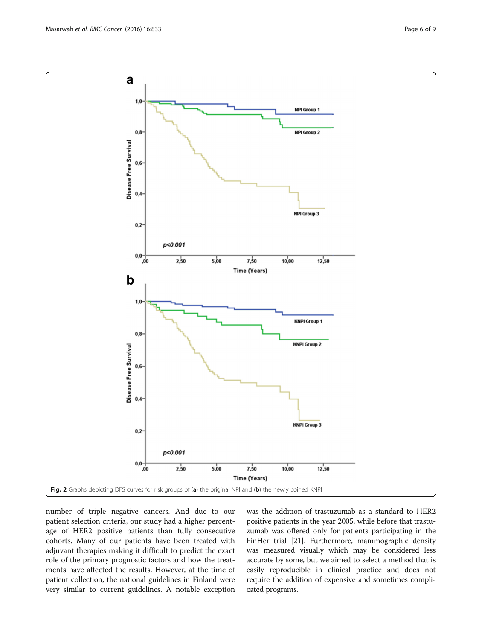<span id="page-5-0"></span> $\mathbf a$  $1.0$ **NPI Group 1**  $0,8$ **NPI Group 2** Disease Free Survival  $0.6$  $0,4$ **NPI Group 3**  $0,2$ p<0.001  $\begin{array}{c} 1,0,0 \\ 0,0,0 \end{array}$  $2,50$  $5,00$  $7,50$  $10,00$  $12,50$ Time (Years)  $\mathbf b$  $1.1$ **KNPI Group 1**  $0,8$ **KNPI Group 2** Disease Free Survival  $0,6$  $0.$ **KNPI Group 3**  $0,2$ p<0.001  $_{\rm 0,0}$  $5,00$  $7,50$  $12,50$ ,00  $2,50$  $10,00$ Time (Years) Fig. 2 Graphs depicting DFS curves for risk groups of (a) the original NPI and (b) the newly coined KNPI

number of triple negative cancers. And due to our patient selection criteria, our study had a higher percentage of HER2 positive patients than fully consecutive cohorts. Many of our patients have been treated with adjuvant therapies making it difficult to predict the exact role of the primary prognostic factors and how the treatments have affected the results. However, at the time of patient collection, the national guidelines in Finland were very similar to current guidelines. A notable exception

was the addition of trastuzumab as a standard to HER2 positive patients in the year 2005, while before that trastuzumab was offered only for patients participating in the FinHer trial [[21](#page-7-0)]. Furthermore, mammographic density was measured visually which may be considered less accurate by some, but we aimed to select a method that is easily reproducible in clinical practice and does not require the addition of expensive and sometimes complicated programs.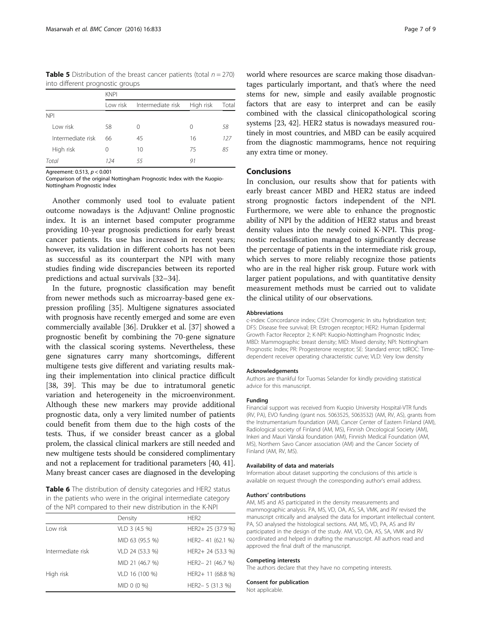<span id="page-6-0"></span>**Table 5** Distribution of the breast cancer patients (total  $n = 270$ ) into different prognostic groups

|                   | <b>KNPI</b> |                             |    |       |
|-------------------|-------------|-----------------------------|----|-------|
|                   | Low risk    | Intermediate risk High risk |    | Total |
| <b>NPI</b>        |             |                             |    |       |
| I ow risk         | 58          | 0                           | 0  | 58    |
| Intermediate risk | 66          | 45                          | 16 | 127   |
| High risk         | 0           | 10                          | 75 | 85    |
| Total             | 124         | 55                          | 91 |       |

Agreement: 0.513, p < 0.001

Comparison of the original Nottingham Prognostic Index with the Kuopio-Nottingham Prognostic Index

Another commonly used tool to evaluate patient outcome nowadays is the Adjuvant! Online prognostic index. It is an internet based computer programme providing 10-year prognosis predictions for early breast cancer patients. Its use has increased in recent years; however, its validation in different cohorts has not been as successful as its counterpart the NPI with many studies finding wide discrepancies between its reported predictions and actual survivals [[32](#page-8-0)–[34](#page-8-0)].

In the future, prognostic classification may benefit from newer methods such as microarray-based gene expression profiling [[35](#page-8-0)]. Multigene signatures associated with prognosis have recently emerged and some are even commercially available [\[36](#page-8-0)]. Drukker et al. [\[37](#page-8-0)] showed a prognostic benefit by combining the 70-gene signature with the classical scoring systems. Nevertheless, these gene signatures carry many shortcomings, different multigene tests give different and variating results making their implementation into clinical practice difficult [[38, 39\]](#page-8-0). This may be due to intratumoral genetic variation and heterogeneity in the microenvironment. Although these new markers may provide additional prognostic data, only a very limited number of patients could benefit from them due to the high costs of the tests. Thus, if we consider breast cancer as a global prolem, the classical clinical markers are still needed and new multigene tests should be considered complimentary and not a replacement for traditional parameters [[40](#page-8-0), [41](#page-8-0)]. Many breast cancer cases are diagnosed in the developing

Table 6 The distribution of density categories and HER2 status in the patients who were in the original intermediate category of the NPI compared to their new distribution in the K-NPI

|                   | Density         | HFR <sub>2</sub>  |
|-------------------|-----------------|-------------------|
| Low risk          | VLD 3 (4.5 %)   | HER2+ 25 (37.9 %) |
|                   | MID 63 (95.5 %) | HER2-41 (62.1 %)  |
| Intermediate risk | VLD 24 (53.3 %) | HER2+ 24 (53.3 %) |
|                   | MID 21 (46.7 %) | HER2-21 (46.7 %)  |
| High risk         | VLD 16 (100 %)  | HER2+ 11 (68.8 %) |
|                   | MID 0 (0 %)     | HER2-5 (31.3 %)   |

world where resources are scarce making those disadvantages particularly important, and that's where the need stems for new, simple and easily available prognostic factors that are easy to interpret and can be easily combined with the classical clinicopathological scoring systems [[23](#page-7-0), [42](#page-8-0)]. HER2 status is nowadays measured routinely in most countries, and MBD can be easily acquired from the diagnostic mammograms, hence not requiring any extra time or money.

# Conclusions

In conclusion, our results show that for patients with early breast cancer MBD and HER2 status are indeed strong prognostic factors independent of the NPI. Furthermore, we were able to enhance the prognostic ability of NPI by the addition of HER2 status and breast density values into the newly coined K-NPI. This prognostic reclassification managed to significantly decrease the percentage of patients in the intermediate risk group, which serves to more reliably recognize those patients who are in the real higher risk group. Future work with larger patient populations, and with quantitative density measurement methods must be carried out to validate the clinical utility of our observations.

#### Abbreviations

c-index: Concordance index; CISH: Chromogenic In situ hybridization test; DFS: Disease free survival; ER: Estrogen receptor; HER2: Human Epidermal Growth Factor Receptor 2; K-NPI: Kuopio-Nottingham Prognostic Index; MBD: Mammographic breast density; MID: Mixed density; NPI: Nottingham Prognostic Index; PR: Progesterone receptor; SE: Standard error; tdROC: Timedependent receiver operating characteristic curve; VLD: Very low density

#### Acknowledgements

Authors are thankful for Tuomas Selander for kindly providing statistical advice for this manuscript.

#### Funding

Financial support was received from Kuopio University Hospital-VTR funds (RV, PA), EVO funding (grant nos. 5063525, 5063532) (AM, RV, AS), grants from the Instrumentarium foundation (AM), Cancer Center of Eastern Finland (AM), Radiological society of Finland (AM, MS), Finnish Oncological Society (AM), Inkeri and Mauri Vänskä foundation (AM), Finnish Medical Foundation (AM, MS), Northern Savo Cancer association (AM) and the Cancer Society of Finland (AM, RV, MS).

#### Availability of data and materials

Information about dataset supporting the conclusions of this article is available on request through the corresponding author's email address.

#### Authors' contributions

AM, MS and AS participated in the density measurements and mammographic analysis. PA, MS, VD, OA, AS, SA, VMK, and RV revised the manuscript critically and analysed the data for important intellectual content. PA, SO analysed the histological sections. AM, MS, VD, PA, AS and RV participated in the design of the study. AM, VD, OA, AS, SA, VMK and RV coordinated and helped in drafting the manuscript. All authors read and approved the final draft of the manuscript.

#### Competing interests

The authors declare that they have no competing interests.

### Consent for publication

Not applicable.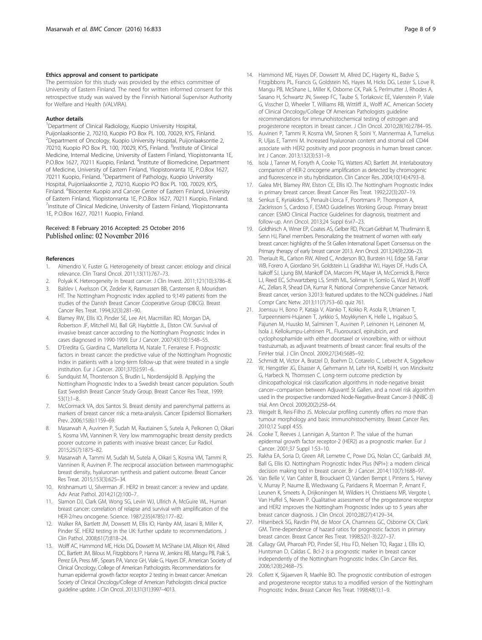#### <span id="page-7-0"></span>Ethics approval and consent to participate

The permission for this study was provided by the ethics committee of University of Eastern Finland. The need for written informed consent for this retrospective study was waived by the Finnish National Supervisor Authority for Welfare and Health (VALVIRA).

#### Author details

<sup>1</sup>Department of Clinical Radiology, Kuopio University Hospital, Puijonlaaksontie 2, 70210, Kuopio PO Box PL 100, 70029, KYS, Finland. <sup>2</sup> Department of Oncology, Kuopio University Hospital, Puijonlaaksontie 2, 70210, Kuopio PO Box PL 100, 70029, KYS, Finland. <sup>3</sup>Institute of Clinical Medicine, Internal Medicine, University of Eastern Finland, Yliopistonranta 1E, P.O.Box 1627, 70211 Kuopio, Finland. <sup>4</sup>Institute of Biomedicine, Department of Medicine, University of Eastern Finland, Yliopistonranta 1E, P.O.Box 1627, 70211 Kuopio, Finland. <sup>5</sup>Department of Pathology, Kuopio University Hospital, Puijonlaaksontie 2, 70210, Kuopio PO Box PL 100, 70029, KYS, Finland. <sup>6</sup>Biocenter Kuopio and Cancer Center of Eastern Finland, University of Eastern Finland, Yliopistonranta 1E, P.O.Box 1627, 70211 Kuopio, Finland. <sup>7</sup>Institute of Clinical Medicine, University of Eastern Finland, Yliopistonranta 1E, P.O.Box 1627, 70211 Kuopio, Finland.

#### Received: 8 February 2016 Accepted: 25 October 2016 Published online: 02 November 2016

#### References

- 1. Almendro V, Fuster G. Heterogeneity of breast cancer: etiology and clinical relevance. Clin Transl Oncol. 2011;13(11):767–73.
- 2. Polyak K. Heterogeneity in breast cancer. J Clin Invest. 2011;121(10):3786–8.
- 3. Balslev I, Axelsson CK, Zedeler K, Rasmussen BB, Carstensen B, Mouridsen HT. The Nottingham Prognostic Index applied to 9,149 patients from the studies of the Danish Breast Cancer Cooperative Group (DBCG). Breast Cancer Res Treat. 1994;32(3):281–90.
- 4. Blamey RW, Ellis IO, Pinder SE, Lee AH, Macmillan RD, Morgan DA, Robertson JF, Mitchell MJ, Ball GR, Haybittle JL, Elston CW. Survival of invasive breast cancer according to the Nottingham Prognostic Index in cases diagnosed in 1990-1999. Eur J Cancer. 2007;43(10):1548–55.
- 5. D'Eredita G, Giardina C, Martellotta M, Natale T, Ferrarese F. Prognostic factors in breast cancer: the predictive value of the Nottingham Prognostic Index in patients with a long-term follow-up that were treated in a single institution. Eur J Cancer. 2001;37(5):591–6.
- 6. Sundquist M, Thorstenson S, Brudin L, Nordenskjold B. Applying the Nottingham Prognostic Index to a Swedish breast cancer population. South East Swedish Breast Cancer Study Group. Breast Cancer Res Treat. 1999; 53(1):1–8.
- 7. McCormack VA, dos Santos SI. Breast density and parenchymal patterns as markers of breast cancer risk: a meta-analysis. Cancer Epidemiol Biomarkers Prev. 2006;15(6):1159–69.
- 8. Masarwah A, Auvinen P, Sudah M, Rautiainen S, Sutela A, Pelkonen O, Oikari S, Kosma VM, Vanninen R. Very low mammographic breast density predicts poorer outcome in patients with invasive breast cancer. Eur Radiol. 2015;25(7):1875–82.
- 9. Masarwah A, Tammi M, Sudah M, Sutela A, Oikari S, Kosma VM, Tammi R, Vanninen R, Auvinen P. The reciprocal association between mammographic breast density, hyaluronan synthesis and patient outcome. Breast Cancer Res Treat. 2015;153(3):625–34.
- 10. Krishnamurti U, Silverman JF. HER2 in breast cancer: a review and update. Adv Anat Pathol. 2014;21(2):100–7.
- 11. Slamon DJ, Clark GM, Wong SG, Levin WJ, Ullrich A, McGuire WL. Human breast cancer: correlation of relapse and survival with amplification of the HER-2/neu oncogene. Science. 1987;235(4785):177–82.
- 12. Walker RA, Bartlett JM, Dowsett M, Ellis IO, Hanby AM, Jasani B, Miller K, Pinder SE. HER2 testing in the UK: further update to recommendations. J Clin Pathol. 2008;61(7):818–24.
- 13. Wolff AC, Hammond ME, Hicks DG, Dowsett M, McShane LM, Allison KH, Allred DC, Bartlett JM, Bilous M, Fitzgibbons P, Hanna W, Jenkins RB, Mangu PB, Paik S, Perez EA, Press MF, Spears PA, Vance GH, Viale G, Hayes DF, American Society of Clinical Oncology, College of American Pathologists. Recommendations for human epidermal growth factor receptor 2 testing in breast cancer: American Society of Clinical Oncology/College of American Pathologists clinical practice guideline update. J Clin Oncol. 2013;31(31):3997–4013.
- 14. Hammond ME, Hayes DF, Dowsett M, Allred DC, Hagerty KL, Badve S, Fitzgibbons PL, Francis G, Goldstein NS, Hayes M, Hicks DG, Lester S, Love R, Mangu PB, McShane L, Miller K, Osborne CK, Paik S, Perlmutter J, Rhodes A, Sasano H, Schwartz JN, Sweep FC, Taube S, Torlakovic EE, Valenstein P, Viale G, Visscher D, Wheeler T, Williams RB, Wittliff JL, Wolff AC. American Society of Clinical Oncology/College Of American Pathologists guideline recommendations for immunohistochemical testing of estrogen and progesterone receptors in breast cancer. J Clin Oncol. 2010;28(16):2784–95.
- 15. Auvinen P, Tammi R, Kosma VM, Sironen R, Soini Y, Mannermaa A, Tumelius R, Uljas E, Tammi M. Increased hyaluronan content and stromal cell CD44 associate with HER2 positivity and poor prognosis in human breast cancer. Int J Cancer. 2013;132(3):531–9.
- 16. Isola J, Tanner M, Forsyth A, Cooke TG, Watters AD, Bartlett JM. Interlaboratory comparison of HER-2 oncogene amplification as detected by chromogenic and fluorescence in situ hybridization. Clin Cancer Res. 2004;10(14):4793–8.
- 17. Galea MH, Blamey RW, Elston CE, Ellis IO. The Nottingham Prognostic Index in primary breast cancer. Breast Cancer Res Treat. 1992;22(3):207–19.
- 18. Senkus E, Kyriakides S, Penault-Llorca F, Poortmans P, Thompson A, Zackrisson S, Cardoso F, ESMO Guidelines Working Group. Primary breast cancer: ESMO Clinical Practice Guidelines for diagnosis, treatment and follow-up. Ann Oncol. 2013;24 Suppl 6:vi7–23.
- 19. Goldhirsch A, Winer EP, Coates AS, Gelber RD, Piccart-Gebhart M, Thurlimann B, Senn HJ, Panel members. Personalizing the treatment of women with early breast cancer: highlights of the St Gallen International Expert Consensus on the Primary therapy of early breast cancer 2013. Ann Oncol. 2013;24(9):2206–23.
- 20. Theriault RL, Carlson RW, Allred C, Anderson BO, Burstein HJ, Edge SB, Farrar WB, Forero A, Giordano SH, Goldstein LJ, Gradishar WJ, Hayes DF, Hudis CA, Isakoff SJ, Ljung BM, Mankoff DA, Marcom PK, Mayer IA, McCormick B, Pierce LJ, Reed EC, Schwartzberg LS, Smith ML, Soliman H, Somlo G, Ward JH, Wolff AC, Zellars R, Shead DA, Kumar R, National Comprehensive Cancer Network. Breast cancer, version 3.2013: featured updates to the NCCN guidelines. J Natl Compr Canc Netw. 2013;11(7):753–60. quiz 761.
- 21. Joensuu H, Bono P, Kataja V, Alanko T, Kokko R, Asola R, Utriainen T, Turpeenniemi-Hujanen T, Jyrkkio S, Moykkynen K, Helle L, Ingalsuo S, Pajunen M, Huusko M, Salminen T, Auvinen P, Leinonen H, Leinonen M, Isola J, Kellokumpu-Lehtinen PL. Fluorouracil, epirubicin, and cyclophosphamide with either docetaxel or vinorelbine, with or without trastuzumab, as adjuvant treatments of breast cancer: final results of the FinHer trial. J Clin Oncol. 2009;27(34):5685–92.
- 22. Schmidt M, Victor A, Bratzel D, Boehm D, Cotarelo C, Lebrecht A, Siggelkow W, Hengstler JG, Elsasser A, Gehrmann M, Lehr HA, Koelbl H, von Minckwitz G, Harbeck N, Thomssen C. Long-term outcome prediction by clinicopathological risk classification algorithms in node-negative breast cancer–comparison between Adjuvant! St Gallen, and a novel risk algorithm used in the prospective randomized Node-Negative-Breast Cancer-3 (NNBC-3) trial. Ann Oncol. 2009;20(2):258–64.
- 23. Weigelt B, Reis-Filho JS. Molecular profiling currently offers no more than tumour morphology and basic immunohistochemistry. Breast Cancer Res. 2010;12 Suppl 4:S5.
- 24. Cooke T, Reeves J, Lannigan A, Stanton P. The value of the human epidermal growth factor receptor-2 (HER2) as a prognostic marker. Eur J Cancer. 2001;37 Suppl 1:S3–10.
- 25. Rakha EA, Soria D, Green AR, Lemetre C, Powe DG, Nolan CC, Garibaldi JM, Ball G, Ellis IO. Nottingham Prognostic Index Plus (NPI+): a modern clinical decision making tool in breast cancer. Br J Cancer. 2014;110(7):1688–97.
- 26. Van Belle V, Van Calster B, Brouckaert O, Vanden Bempt I, Pintens S, Harvey V, Murray P, Naume B, Wiedswang G, Paridaens R, Moerman P, Amant F, Leunen K, Smeets A, Drijkoningen M, Wildiers H, Christiaens MR, Vergote I, Van Huffel S, Neven P. Qualitative assessment of the progesterone receptor and HER2 improves the Nottingham Prognostic Index up to 5 years after breast cancer diagnosis. J Clin Oncol. 2010;28(27):4129–34.
- 27. Hilsenbeck SG, Ravdin PM, de Moor CA, Chamness GC, Osborne CK, Clark GM. Time-dependence of hazard ratios for prognostic factors in primary breast cancer. Breast Cancer Res Treat. 1998;52(1-3):227–37.
- 28. Callagy GM, Pharoah PD, Pinder SE, Hsu FD, Nielsen TO, Ragaz J, Ellis IO, Huntsman D, Caldas C. Bcl-2 is a prognostic marker in breast cancer independently of the Nottingham Prognostic Index. Clin Cancer Res. 2006;12(8):2468–75.
- 29. Collett K, Skjaerven R, Maehle BO. The prognostic contribution of estrogen and progesterone receptor status to a modified version of the Nottingham Prognostic Index. Breast Cancer Res Treat. 1998;48(1):1–9.